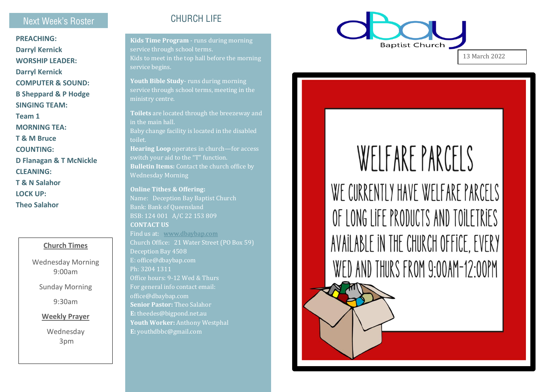### Next Week's Roster

**PREACHING: Darryl Kernick WORSHIP LEADER: Darryl Kernick COMPUTER & SOUND: B Sheppard & P Hodge SINGING TEAM: Team 1 MORNING TEA: T & M Bruce COUNTING : D Flanagan & T McNickle CLEANING: T & N Salahor LOCK UP: Theo Salahor**

#### **Church Times**

Wednesday Morning 9:00am

Sunday Morning

9:30am

**Weekly Prayer**

Wednesday 3pm

## CHURCH LIFE

**Kids Time Program** - runs during morning service through school terms. Kids to meet in the top hall before the morning service begins.

**Youth Bible Study** - runs during morning service through school terms, meeting in the ministry centre.

**Toilets** are located through the breezeway and in the main hall. Baby change facility is located in the disabled toilet. **Hearing Loop** operates in church —for access switch your aid to the "T" function. **Bulletin Items:** Contact the church office by Wednesday Morning

**Online Tithes & Offering:**  Name: Deception Bay Baptist Church Bank: Bank of Queensland BSB: 124 001 A/C 22 153 809 **CONTACT US**  Find us at: [www.dbaybap.com](http://www.dbaybap.com/) Church Office: 21 Water Street (PO Box 59) Deception Bay 4508 E: office@dbaybap.com Ph: 3204 1311 Office hours: 9 -12 Wed & Thurs For general info contact email: office@dbaybap.com **Senior Pastor:** Theo Salahor **E:** theedes@bigpond.net.au **Youth Worker:** Anthony Westphal **E:** youthdbbc@gmail.com



13 March 2022

# WFIFARF PARCELS WE CURRENTLY HAVE WELFARE PARCELS OF LONG LIFF PRODUCTS AND TOILETRIFS AVAILABLE IN THE CHURCH OFFICE. EVERY WED AND THURS FROM 9:00AM-12:00PM